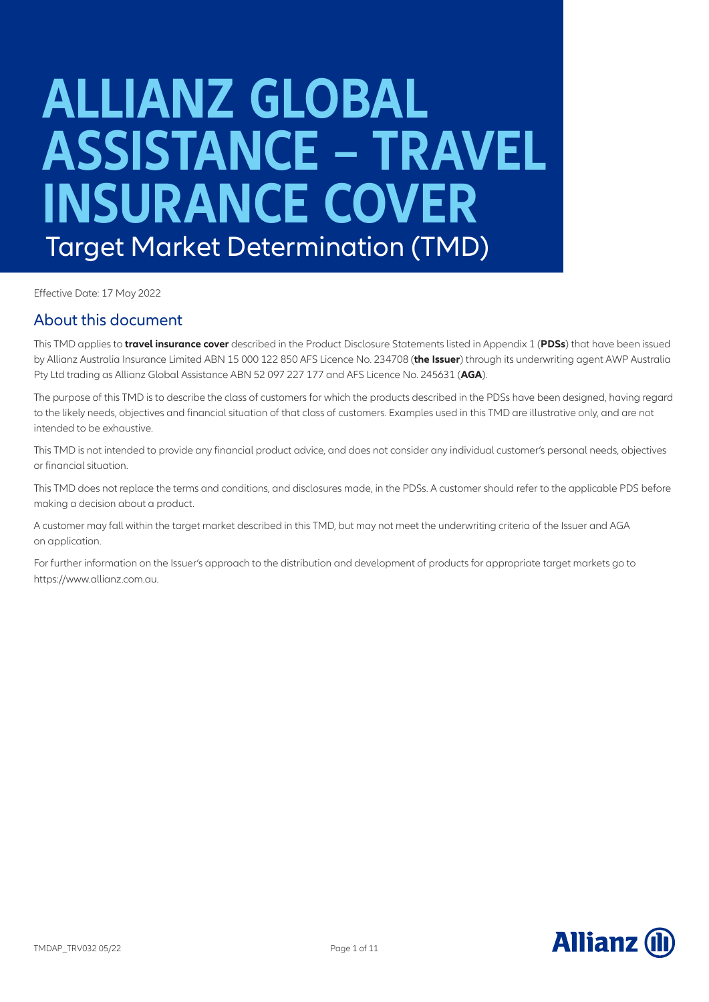# **ALLIANZ GLOBAL ASSISTANCE – TRAVEL INSURANCE COVER** Target Market Determination (TMD)

Effective Date: 17 May 2022

### About this document

This TMD applies to **travel insurance cover** described in the Product Disclosure Statements listed in Appendix 1 (**PDSs**) that have been issued by Allianz Australia Insurance Limited ABN 15 000 122 850 AFS Licence No. 234708 (**the Issuer**) through its underwriting agent AWP Australia Pty Ltd trading as Allianz Global Assistance ABN 52 097 227 177 and AFS Licence No. 245631 (**AGA**).

The purpose of this TMD is to describe the class of customers for which the products described in the PDSs have been designed, having regard to the likely needs, objectives and financial situation of that class of customers. Examples used in this TMD are illustrative only, and are not intended to be exhaustive.

This TMD is not intended to provide any financial product advice, and does not consider any individual customer's personal needs, objectives or financial situation.

This TMD does not replace the terms and conditions, and disclosures made, in the PDSs. A customer should refer to the applicable PDS before making a decision about a product.

A customer may fall within the target market described in this TMD, but may not meet the underwriting criteria of the Issuer and AGA on application.

For further information on the Issuer's approach to the distribution and development of products for appropriate target markets go to https://www.allianz.com.au.

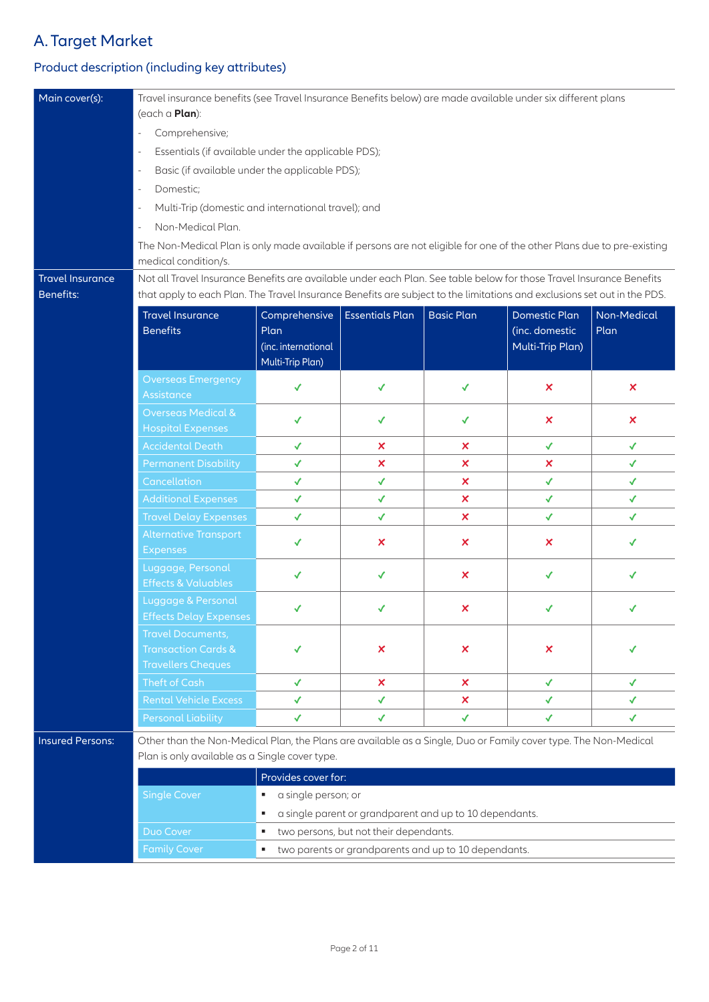## A. Target Market

## Product description (including key attributes)

| Main cover(s):                                                                   | Travel insurance benefits (see Travel Insurance Benefits below) are made available under six different plans<br>(each a <b>Plan</b> ):         |                     |                                        |                                                         |                           |                           |  |  |
|----------------------------------------------------------------------------------|------------------------------------------------------------------------------------------------------------------------------------------------|---------------------|----------------------------------------|---------------------------------------------------------|---------------------------|---------------------------|--|--|
|                                                                                  | Comprehensive;<br>$\blacksquare$                                                                                                               |                     |                                        |                                                         |                           |                           |  |  |
|                                                                                  | Essentials (if available under the applicable PDS);<br>$\qquad \qquad \blacksquare$                                                            |                     |                                        |                                                         |                           |                           |  |  |
|                                                                                  | Basic (if available under the applicable PDS);<br>$\qquad \qquad \blacksquare$                                                                 |                     |                                        |                                                         |                           |                           |  |  |
|                                                                                  | Domestic;<br>÷,                                                                                                                                |                     |                                        |                                                         |                           |                           |  |  |
|                                                                                  | Multi-Trip (domestic and international travel); and                                                                                            |                     |                                        |                                                         |                           |                           |  |  |
|                                                                                  | $\qquad \qquad \blacksquare$<br>Non-Medical Plan.                                                                                              |                     |                                        |                                                         |                           |                           |  |  |
|                                                                                  | $\blacksquare$                                                                                                                                 |                     |                                        |                                                         |                           |                           |  |  |
|                                                                                  | The Non-Medical Plan is only made available if persons are not eligible for one of the other Plans due to pre-existing<br>medical condition/s. |                     |                                        |                                                         |                           |                           |  |  |
| <b>Travel Insurance</b>                                                          | Not all Travel Insurance Benefits are available under each Plan. See table below for those Travel Insurance Benefits                           |                     |                                        |                                                         |                           |                           |  |  |
| <b>Benefits:</b>                                                                 | that apply to each Plan. The Travel Insurance Benefits are subject to the limitations and exclusions set out in the PDS.                       |                     |                                        |                                                         |                           |                           |  |  |
|                                                                                  | <b>Travel Insurance</b>                                                                                                                        | Comprehensive       | <b>Essentials Plan</b>                 | <b>Basic Plan</b>                                       | <b>Domestic Plan</b>      | Non-Medical               |  |  |
|                                                                                  | <b>Benefits</b>                                                                                                                                | Plan                |                                        |                                                         | (inc. domestic            | Plan                      |  |  |
|                                                                                  |                                                                                                                                                | (inc. international |                                        |                                                         | Multi-Trip Plan)          |                           |  |  |
|                                                                                  |                                                                                                                                                | Multi-Trip Plan)    |                                        |                                                         |                           |                           |  |  |
|                                                                                  | <b>Overseas Emergency</b><br>Assistance                                                                                                        | ✓                   | ✔                                      | ✓                                                       | $\boldsymbol{\mathsf{x}}$ | $\boldsymbol{\mathsf{x}}$ |  |  |
|                                                                                  | <b>Overseas Medical &amp;</b>                                                                                                                  |                     |                                        |                                                         |                           |                           |  |  |
|                                                                                  | <b>Hospital Expenses</b>                                                                                                                       | ✔                   | $\checkmark$                           | $\checkmark$                                            | $\boldsymbol{\mathsf{x}}$ | $\boldsymbol{\mathsf{x}}$ |  |  |
|                                                                                  | <b>Accidental Death</b>                                                                                                                        | ✓                   | ×                                      | $\boldsymbol{\mathsf{x}}$                               | ✔                         | ✓                         |  |  |
|                                                                                  | <b>Permanent Disability</b>                                                                                                                    | $\checkmark$        | $\boldsymbol{\mathsf{x}}$              | $\boldsymbol{\mathsf{x}}$                               | ×                         | $\checkmark$              |  |  |
|                                                                                  | Cancellation                                                                                                                                   | $\checkmark$        | $\checkmark$                           | $\boldsymbol{\mathsf{x}}$                               | $\checkmark$              | ✔                         |  |  |
|                                                                                  | <b>Additional Expenses</b>                                                                                                                     | $\checkmark$        | $\checkmark$                           | ×                                                       | $\checkmark$              | ✔                         |  |  |
|                                                                                  | <b>Travel Delay Expenses</b>                                                                                                                   | $\checkmark$        | ✔                                      | $\boldsymbol{\mathsf{x}}$                               | $\checkmark$              | ✔                         |  |  |
|                                                                                  | <b>Alternative Transport</b><br><b>Expenses</b>                                                                                                | ✓                   | $\boldsymbol{\mathsf{x}}$              | $\boldsymbol{\mathsf{x}}$                               | $\boldsymbol{\mathsf{x}}$ | ✔                         |  |  |
|                                                                                  | Luggage, Personal<br><b>Effects &amp; Valuables</b>                                                                                            | ✓                   | ✔                                      | $\boldsymbol{\mathsf{x}}$                               | ✓                         | ✓                         |  |  |
|                                                                                  | Luggage & Personal<br><b>Effects Delay Expenses</b>                                                                                            |                     | √                                      | $\pmb{\times}$                                          |                           |                           |  |  |
|                                                                                  | <b>Travel Documents,</b>                                                                                                                       |                     |                                        |                                                         |                           |                           |  |  |
|                                                                                  | <b>Transaction Cards &amp;</b>                                                                                                                 |                     | ×                                      | ×                                                       | ×                         |                           |  |  |
|                                                                                  | <b>Travellers Cheques</b>                                                                                                                      |                     |                                        |                                                         |                           |                           |  |  |
|                                                                                  | Theft of Cash                                                                                                                                  | ✓                   | ×                                      | ×                                                       | $\checkmark$              | ✓                         |  |  |
|                                                                                  | <b>Rental Vehicle Excess</b>                                                                                                                   | $\checkmark$        | $\checkmark$                           | ×.                                                      | $\checkmark$              | ✓                         |  |  |
|                                                                                  | <b>Personal Liability</b>                                                                                                                      | ✓                   | ✔                                      | ✔                                                       | ✓                         | ✓                         |  |  |
| <b>Insured Persons:</b>                                                          | Other than the Non-Medical Plan, the Plans are available as a Single, Duo or Family cover type. The Non-Medical                                |                     |                                        |                                                         |                           |                           |  |  |
|                                                                                  | Plan is only available as a Single cover type.                                                                                                 |                     |                                        |                                                         |                           |                           |  |  |
|                                                                                  |                                                                                                                                                | Provides cover for: |                                        |                                                         |                           |                           |  |  |
|                                                                                  | <b>Single Cover</b>                                                                                                                            | a single person; or |                                        |                                                         |                           |                           |  |  |
|                                                                                  |                                                                                                                                                | ٠                   |                                        | a single parent or grandparent and up to 10 dependants. |                           |                           |  |  |
|                                                                                  | Duo Cover                                                                                                                                      | ٠                   | two persons, but not their dependants. |                                                         |                           |                           |  |  |
| two parents or grandparents and up to 10 dependants.<br><b>Family Cover</b><br>٠ |                                                                                                                                                |                     |                                        |                                                         |                           |                           |  |  |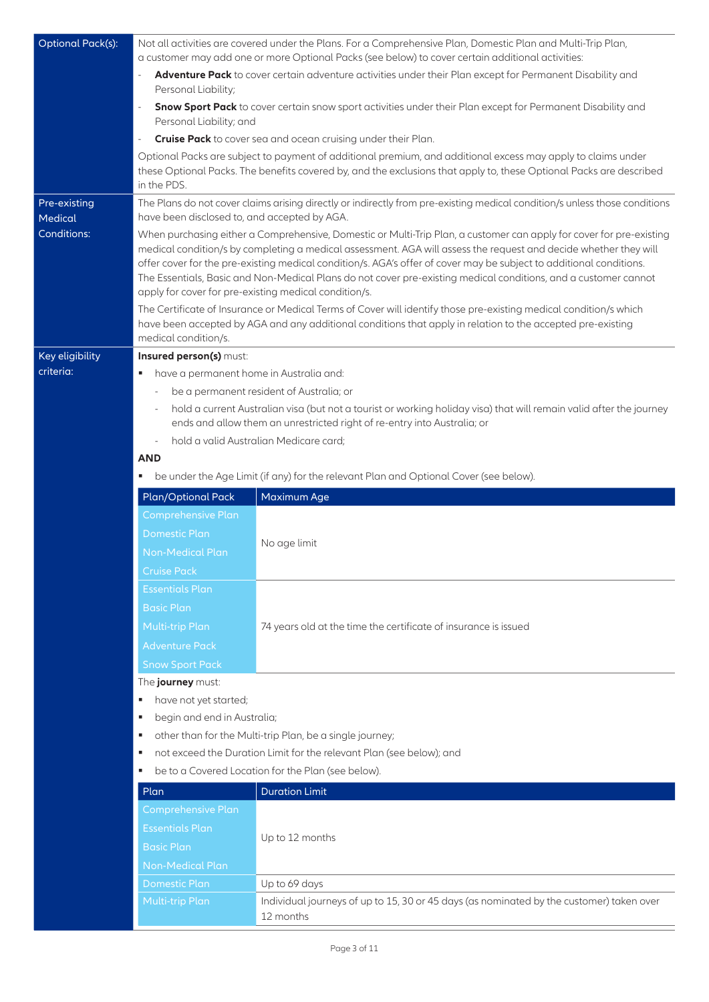| <b>Optional Pack(s):</b> | Not all activities are covered under the Plans. For a Comprehensive Plan, Domestic Plan and Multi-Trip Plan,<br>a customer may add one or more Optional Packs (see below) to cover certain additional activities:                                  |                                                                                                                                                                                                                                                                                                                                                                                                                                                                                                                                             |  |  |
|--------------------------|----------------------------------------------------------------------------------------------------------------------------------------------------------------------------------------------------------------------------------------------------|---------------------------------------------------------------------------------------------------------------------------------------------------------------------------------------------------------------------------------------------------------------------------------------------------------------------------------------------------------------------------------------------------------------------------------------------------------------------------------------------------------------------------------------------|--|--|
|                          | Adventure Pack to cover certain adventure activities under their Plan except for Permanent Disability and<br>Personal Liability;                                                                                                                   |                                                                                                                                                                                                                                                                                                                                                                                                                                                                                                                                             |  |  |
|                          | $\overline{\phantom{a}}$<br>Personal Liability; and                                                                                                                                                                                                | Snow Sport Pack to cover certain snow sport activities under their Plan except for Permanent Disability and                                                                                                                                                                                                                                                                                                                                                                                                                                 |  |  |
|                          | $\qquad \qquad \blacksquare$                                                                                                                                                                                                                       | Cruise Pack to cover sea and ocean cruising under their Plan.                                                                                                                                                                                                                                                                                                                                                                                                                                                                               |  |  |
|                          | Optional Packs are subject to payment of additional premium, and additional excess may apply to claims under<br>these Optional Packs. The benefits covered by, and the exclusions that apply to, these Optional Packs are described<br>in the PDS. |                                                                                                                                                                                                                                                                                                                                                                                                                                                                                                                                             |  |  |
| Pre-existing<br>Medical  | have been disclosed to, and accepted by AGA.                                                                                                                                                                                                       | The Plans do not cover claims arising directly or indirectly from pre-existing medical condition/s unless those conditions                                                                                                                                                                                                                                                                                                                                                                                                                  |  |  |
| Conditions:              |                                                                                                                                                                                                                                                    | When purchasing either a Comprehensive, Domestic or Multi-Trip Plan, a customer can apply for cover for pre-existing<br>medical condition/s by completing a medical assessment. AGA will assess the request and decide whether they will<br>offer cover for the pre-existing medical condition/s. AGA's offer of cover may be subject to additional conditions.<br>The Essentials, Basic and Non-Medical Plans do not cover pre-existing medical conditions, and a customer cannot<br>apply for cover for pre-existing medical condition/s. |  |  |
|                          | medical condition/s.                                                                                                                                                                                                                               | The Certificate of Insurance or Medical Terms of Cover will identify those pre-existing medical condition/s which<br>have been accepted by AGA and any additional conditions that apply in relation to the accepted pre-existing                                                                                                                                                                                                                                                                                                            |  |  |
| Key eligibility          | Insured person(s) must:                                                                                                                                                                                                                            |                                                                                                                                                                                                                                                                                                                                                                                                                                                                                                                                             |  |  |
| criteria:                | have a permanent home in Australia and:                                                                                                                                                                                                            |                                                                                                                                                                                                                                                                                                                                                                                                                                                                                                                                             |  |  |
|                          | be a permanent resident of Australia; or                                                                                                                                                                                                           |                                                                                                                                                                                                                                                                                                                                                                                                                                                                                                                                             |  |  |
|                          |                                                                                                                                                                                                                                                    | hold a current Australian visa (but not a tourist or working holiday visa) that will remain valid after the journey<br>ends and allow them an unrestricted right of re-entry into Australia; or                                                                                                                                                                                                                                                                                                                                             |  |  |
|                          | ÷,                                                                                                                                                                                                                                                 | hold a valid Australian Medicare card;                                                                                                                                                                                                                                                                                                                                                                                                                                                                                                      |  |  |
|                          | <b>AND</b>                                                                                                                                                                                                                                         |                                                                                                                                                                                                                                                                                                                                                                                                                                                                                                                                             |  |  |
|                          | be under the Age Limit (if any) for the relevant Plan and Optional Cover (see below).<br>٠                                                                                                                                                         |                                                                                                                                                                                                                                                                                                                                                                                                                                                                                                                                             |  |  |
|                          |                                                                                                                                                                                                                                                    |                                                                                                                                                                                                                                                                                                                                                                                                                                                                                                                                             |  |  |
|                          | Plan/Optional Pack                                                                                                                                                                                                                                 | Maximum Age                                                                                                                                                                                                                                                                                                                                                                                                                                                                                                                                 |  |  |
|                          | Comprehensive Plan                                                                                                                                                                                                                                 |                                                                                                                                                                                                                                                                                                                                                                                                                                                                                                                                             |  |  |
|                          | <b>Domestic Plan</b>                                                                                                                                                                                                                               |                                                                                                                                                                                                                                                                                                                                                                                                                                                                                                                                             |  |  |
|                          | <b>Non-Medical Plan</b>                                                                                                                                                                                                                            | No age limit                                                                                                                                                                                                                                                                                                                                                                                                                                                                                                                                |  |  |
|                          | <b>Cruise Pack</b>                                                                                                                                                                                                                                 |                                                                                                                                                                                                                                                                                                                                                                                                                                                                                                                                             |  |  |
|                          | <b>Essentials Plan</b>                                                                                                                                                                                                                             |                                                                                                                                                                                                                                                                                                                                                                                                                                                                                                                                             |  |  |
|                          | <b>Basic Plan</b>                                                                                                                                                                                                                                  |                                                                                                                                                                                                                                                                                                                                                                                                                                                                                                                                             |  |  |
|                          | Multi-trip Plan                                                                                                                                                                                                                                    | 74 years old at the time the certificate of insurance is issued                                                                                                                                                                                                                                                                                                                                                                                                                                                                             |  |  |
|                          | <b>Adventure Pack</b>                                                                                                                                                                                                                              |                                                                                                                                                                                                                                                                                                                                                                                                                                                                                                                                             |  |  |
|                          |                                                                                                                                                                                                                                                    |                                                                                                                                                                                                                                                                                                                                                                                                                                                                                                                                             |  |  |
|                          | <b>Snow Sport Pack</b>                                                                                                                                                                                                                             |                                                                                                                                                                                                                                                                                                                                                                                                                                                                                                                                             |  |  |
|                          | The journey must:<br>have not yet started;<br>٠                                                                                                                                                                                                    |                                                                                                                                                                                                                                                                                                                                                                                                                                                                                                                                             |  |  |
|                          | begin and end in Australia;<br>٠                                                                                                                                                                                                                   |                                                                                                                                                                                                                                                                                                                                                                                                                                                                                                                                             |  |  |
|                          | ٠                                                                                                                                                                                                                                                  | other than for the Multi-trip Plan, be a single journey;                                                                                                                                                                                                                                                                                                                                                                                                                                                                                    |  |  |
|                          | ٠                                                                                                                                                                                                                                                  | not exceed the Duration Limit for the relevant Plan (see below); and                                                                                                                                                                                                                                                                                                                                                                                                                                                                        |  |  |
|                          | ٠                                                                                                                                                                                                                                                  | be to a Covered Location for the Plan (see below).                                                                                                                                                                                                                                                                                                                                                                                                                                                                                          |  |  |
|                          | Plan                                                                                                                                                                                                                                               | <b>Duration Limit</b>                                                                                                                                                                                                                                                                                                                                                                                                                                                                                                                       |  |  |
|                          | <b>Comprehensive Plan</b>                                                                                                                                                                                                                          |                                                                                                                                                                                                                                                                                                                                                                                                                                                                                                                                             |  |  |
|                          | <b>Essentials Plan</b>                                                                                                                                                                                                                             |                                                                                                                                                                                                                                                                                                                                                                                                                                                                                                                                             |  |  |
|                          | <b>Basic Plan</b>                                                                                                                                                                                                                                  | Up to 12 months                                                                                                                                                                                                                                                                                                                                                                                                                                                                                                                             |  |  |
|                          | <b>Non-Medical Plan</b>                                                                                                                                                                                                                            |                                                                                                                                                                                                                                                                                                                                                                                                                                                                                                                                             |  |  |
|                          | <b>Domestic Plan</b>                                                                                                                                                                                                                               | Up to 69 days                                                                                                                                                                                                                                                                                                                                                                                                                                                                                                                               |  |  |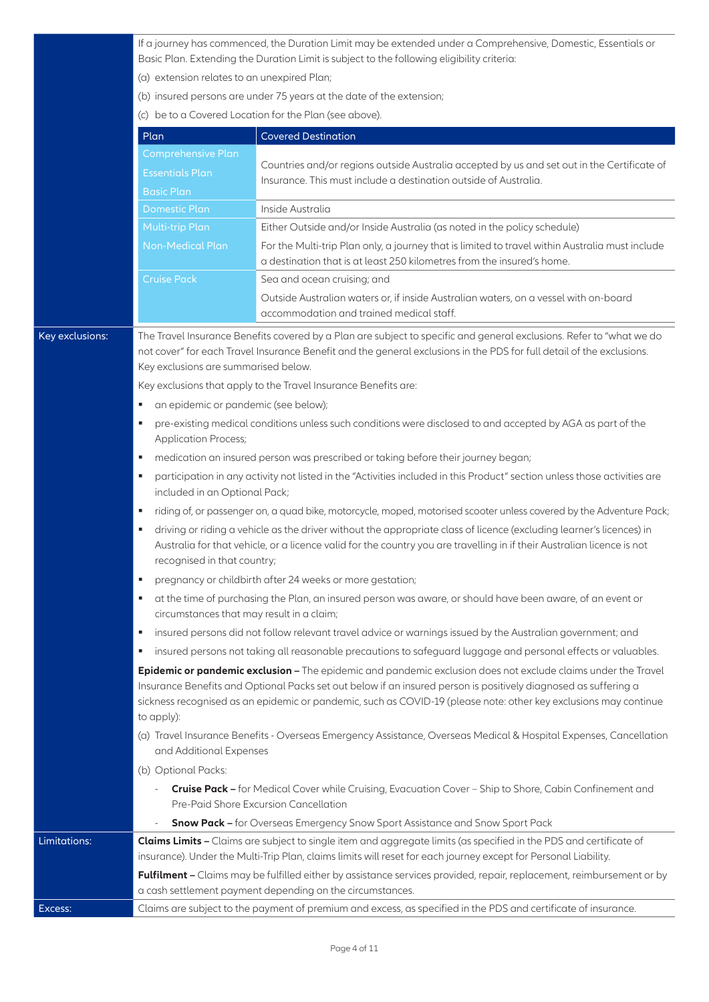If a journey has commenced, the Duration Limit may be extended under a Comprehensive, Domestic, Essentials or Basic Plan. Extending the Duration Limit is subject to the following eligibility criteria:

- (a) extension relates to an unexpired Plan;
- (b) insured persons are under 75 years at the date of the extension;
- (c) be to a Covered Location for the Plan (see above).

|                 | Plan                                                                                                                     | <b>Covered Destination</b>                                                                                                                                                                                                                                                                                                                           |  |  |  |
|-----------------|--------------------------------------------------------------------------------------------------------------------------|------------------------------------------------------------------------------------------------------------------------------------------------------------------------------------------------------------------------------------------------------------------------------------------------------------------------------------------------------|--|--|--|
|                 | <b>Comprehensive Plan</b>                                                                                                |                                                                                                                                                                                                                                                                                                                                                      |  |  |  |
|                 | <b>Essentials Plan</b>                                                                                                   | Countries and/or regions outside Australia accepted by us and set out in the Certificate of<br>Insurance. This must include a destination outside of Australia.                                                                                                                                                                                      |  |  |  |
|                 | <b>Basic Plan</b>                                                                                                        |                                                                                                                                                                                                                                                                                                                                                      |  |  |  |
|                 | <b>Domestic Plan</b>                                                                                                     | Inside Australia                                                                                                                                                                                                                                                                                                                                     |  |  |  |
|                 | <b>Multi-trip Plan</b>                                                                                                   | Either Outside and/or Inside Australia (as noted in the policy schedule)                                                                                                                                                                                                                                                                             |  |  |  |
|                 | <b>Non-Medical Plan</b>                                                                                                  | For the Multi-trip Plan only, a journey that is limited to travel within Australia must include<br>a destination that is at least 250 kilometres from the insured's home.                                                                                                                                                                            |  |  |  |
|                 | <b>Cruise Pack</b>                                                                                                       | Sea and ocean cruising; and                                                                                                                                                                                                                                                                                                                          |  |  |  |
|                 |                                                                                                                          | Outside Australian waters or, if inside Australian waters, on a vessel with on-board<br>accommodation and trained medical staff.                                                                                                                                                                                                                     |  |  |  |
| Key exclusions: |                                                                                                                          | The Travel Insurance Benefits covered by a Plan are subject to specific and general exclusions. Refer to "what we do                                                                                                                                                                                                                                 |  |  |  |
|                 |                                                                                                                          | not cover" for each Travel Insurance Benefit and the general exclusions in the PDS for full detail of the exclusions.                                                                                                                                                                                                                                |  |  |  |
|                 | Key exclusions are summarised below.                                                                                     |                                                                                                                                                                                                                                                                                                                                                      |  |  |  |
|                 |                                                                                                                          | Key exclusions that apply to the Travel Insurance Benefits are:                                                                                                                                                                                                                                                                                      |  |  |  |
|                 | an epidemic or pandemic (see below);<br>٠                                                                                |                                                                                                                                                                                                                                                                                                                                                      |  |  |  |
|                 | ٠<br><b>Application Process;</b>                                                                                         | pre-existing medical conditions unless such conditions were disclosed to and accepted by AGA as part of the                                                                                                                                                                                                                                          |  |  |  |
|                 | ٠                                                                                                                        | medication an insured person was prescribed or taking before their journey began;                                                                                                                                                                                                                                                                    |  |  |  |
|                 | ٠<br>included in an Optional Pack;                                                                                       | participation in any activity not listed in the "Activities included in this Product" section unless those activities are                                                                                                                                                                                                                            |  |  |  |
|                 | riding of, or passenger on, a quad bike, motorcycle, moped, motorised scooter unless covered by the Adventure Pack;<br>٠ |                                                                                                                                                                                                                                                                                                                                                      |  |  |  |
|                 | ٠<br>recognised in that country;                                                                                         | driving or riding a vehicle as the driver without the appropriate class of licence (excluding learner's licences) in<br>Australia for that vehicle, or a licence valid for the country you are travelling in if their Australian licence is not                                                                                                      |  |  |  |
|                 | ٠                                                                                                                        | pregnancy or childbirth after 24 weeks or more gestation;                                                                                                                                                                                                                                                                                            |  |  |  |
|                 | ٠<br>circumstances that may result in a claim;                                                                           | at the time of purchasing the Plan, an insured person was aware, or should have been aware, of an event or                                                                                                                                                                                                                                           |  |  |  |
|                 | л                                                                                                                        | insured persons did not follow relevant travel advice or warnings issued by the Australian government; and                                                                                                                                                                                                                                           |  |  |  |
|                 |                                                                                                                          | insured persons not taking all reasonable precautions to safeguard luggage and personal effects or valuables.                                                                                                                                                                                                                                        |  |  |  |
|                 | to apply):                                                                                                               | Epidemic or pandemic exclusion - The epidemic and pandemic exclusion does not exclude claims under the Travel<br>Insurance Benefits and Optional Packs set out below if an insured person is positively diagnosed as suffering a<br>sickness recognised as an epidemic or pandemic, such as COVID-19 (please note: other key exclusions may continue |  |  |  |
|                 | and Additional Expenses                                                                                                  | (a) Travel Insurance Benefits - Overseas Emergency Assistance, Overseas Medical & Hospital Expenses, Cancellation                                                                                                                                                                                                                                    |  |  |  |
|                 | (b) Optional Packs:                                                                                                      |                                                                                                                                                                                                                                                                                                                                                      |  |  |  |
|                 |                                                                                                                          | Cruise Pack - for Medical Cover while Cruising, Evacuation Cover - Ship to Shore, Cabin Confinement and<br>Pre-Paid Shore Excursion Cancellation                                                                                                                                                                                                     |  |  |  |
|                 |                                                                                                                          | <b>Snow Pack -</b> for Overseas Emergency Snow Sport Assistance and Snow Sport Pack                                                                                                                                                                                                                                                                  |  |  |  |
| Limitations:    |                                                                                                                          | <b>Claims Limits -</b> Claims are subject to single item and aggregate limits (as specified in the PDS and certificate of<br>insurance). Under the Multi-Trip Plan, claims limits will reset for each journey except for Personal Liability.                                                                                                         |  |  |  |
|                 |                                                                                                                          | Fulfilment - Claims may be fulfilled either by assistance services provided, repair, replacement, reimbursement or by<br>a cash settlement payment depending on the circumstances.                                                                                                                                                                   |  |  |  |
| Excess:         |                                                                                                                          | Claims are subject to the payment of premium and excess, as specified in the PDS and certificate of insurance.                                                                                                                                                                                                                                       |  |  |  |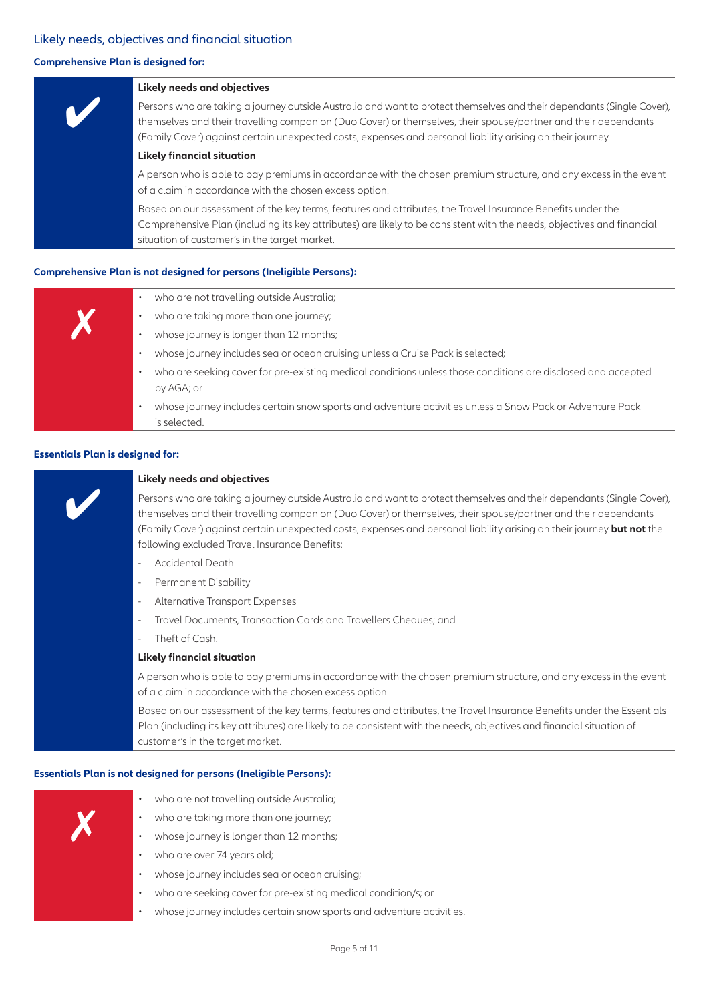#### Likely needs, objectives and financial situation

#### **Comprehensive Plan is designed for:**



#### **Comprehensive Plan is not designed for persons (Ineligible Persons):**

|  | who are not travelling outside Australia;                                                                                  |
|--|----------------------------------------------------------------------------------------------------------------------------|
|  | who are taking more than one journey;                                                                                      |
|  | whose journey is longer than 12 months;                                                                                    |
|  | whose journey includes sea or ocean cruising unless a Cruise Pack is selected;                                             |
|  | who are seeking cover for pre-existing medical conditions unless those conditions are disclosed and accepted<br>by AGA; or |
|  | whose journey includes certain snow sports and adventure activities unless a Snow Pack or Adventure Pack<br>is selected    |

#### **Essentials Plan is designed for:**



#### **Essentials Plan is not designed for persons (Ineligible Persons):**

| $\bullet$ | who are not travelling outside Australia;                            |
|-----------|----------------------------------------------------------------------|
|           | who are taking more than one journey;                                |
|           | whose journey is longer than 12 months;                              |
| ٠         | who are over 74 years old;                                           |
|           | whose journey includes sea or ocean cruising;                        |
| ٠         | who are seeking cover for pre-existing medical condition/s; or       |
|           | whose journey includes certain snow sports and adventure activities. |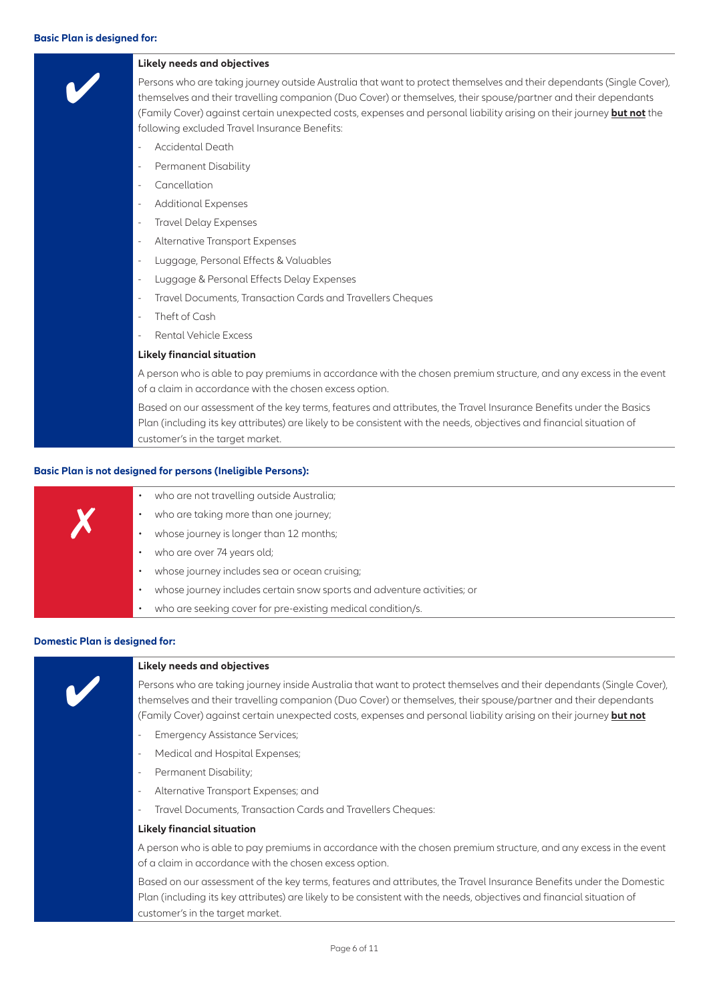#### **Basic Plan is designed for:**



#### **Basic Plan is not designed for persons (Ineligible Persons):**

|  | • who are not travelling outside Australia; |
|--|---------------------------------------------|
|  | who are taking more than one journey;       |
|  | whose journey is longer than 12 months;     |
|  | • who are over 74 years old;                |
|  | whose journey includes sea or ocean cru     |
|  | whose journey includes certain snow spo     |
|  | who are seeking cover for pre-existing m    |

- who are taking more than one journey;
- whose journey is longer than 12 months;
- who are over 74 years old;
- whose journey includes sea or ocean cruising;
- whose journey includes certain snow sports and adventure activities; or
- who are seeking cover for pre-existing medical condition/s.

#### **Domestic Plan is designed for:**



#### **Likely needs and objectives**

Persons who are taking journey inside Australia that want to protect themselves and their dependants (Single Cover), themselves and their travelling companion (Duo Cover) or themselves, their spouse/partner and their dependants (Family Cover) against certain unexpected costs, expenses and personal liability arising on their journey **but not**

- Emergency Assistance Services;
- Medical and Hospital Expenses;
- Permanent Disability;
- Alternative Transport Expenses; and
- Travel Documents, Transaction Cards and Travellers Cheques:

#### **Likely financial situation**

A person who is able to pay premiums in accordance with the chosen premium structure, and any excess in the event of a claim in accordance with the chosen excess option.

Based on our assessment of the key terms, features and attributes, the Travel Insurance Benefits under the Domestic Plan (including its key attributes) are likely to be consistent with the needs, objectives and financial situation of customer's in the target market.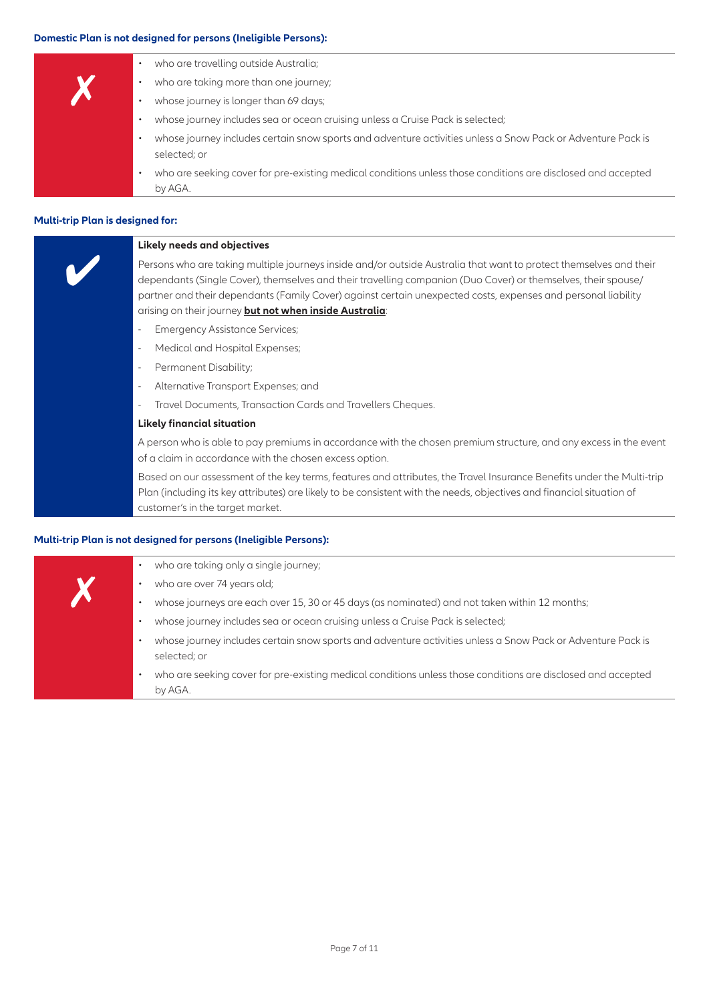#### **Domestic Plan is not designed for persons (Ineligible Persons):**

|   | who are travelling outside Australia;                                                                                       |
|---|-----------------------------------------------------------------------------------------------------------------------------|
| V | who are taking more than one journey;                                                                                       |
|   | whose journey is longer than 69 days;                                                                                       |
|   | whose journey includes sea or ocean cruising unless a Cruise Pack is selected;                                              |
|   | whose journey includes certain snow sports and adventure activities unless a Snow Pack or Adventure Pack is<br>selected; or |
|   | who are seeking cover for pre-existing medical conditions unless those conditions are disclosed and accepted<br>by AGA.     |

#### **Multi-trip Plan is designed for:**

| Likely needs and objectives                                                                                                                                                                                                                                                                                                                                                                                     |
|-----------------------------------------------------------------------------------------------------------------------------------------------------------------------------------------------------------------------------------------------------------------------------------------------------------------------------------------------------------------------------------------------------------------|
| Persons who are taking multiple journeys inside and/or outside Australia that want to protect themselves and their<br>dependants (Single Cover), themselves and their travelling companion (Duo Cover) or themselves, their spouse/<br>partner and their dependants (Family Cover) against certain unexpected costs, expenses and personal liability<br>arising on their journey but not when inside Australia: |
| <b>Emergency Assistance Services;</b><br>$\overline{\phantom{a}}$                                                                                                                                                                                                                                                                                                                                               |
| Medical and Hospital Expenses;<br>$\overline{\phantom{a}}$                                                                                                                                                                                                                                                                                                                                                      |
| Permanent Disability;<br>$\overline{\phantom{a}}$                                                                                                                                                                                                                                                                                                                                                               |
| Alternative Transport Expenses; and<br>$\overline{\phantom{a}}$                                                                                                                                                                                                                                                                                                                                                 |
| Travel Documents, Transaction Cards and Travellers Cheques.<br>$\overline{\phantom{a}}$                                                                                                                                                                                                                                                                                                                         |
| <b>Likely financial situation</b>                                                                                                                                                                                                                                                                                                                                                                               |
| A second stable to shake a superior of secondary could the choose secondary characters and superior to the conse                                                                                                                                                                                                                                                                                                |

A person who is able to pay premiums in accordance with the chosen premium structure, and any excess in the event of a claim in accordance with the chosen excess option.

Based on our assessment of the key terms, features and attributes, the Travel Insurance Benefits under the Multi-trip Plan (including its key attributes) are likely to be consistent with the needs, objectives and financial situation of customer's in the target market.

#### **Multi-trip Plan is not designed for persons (Ineligible Persons):**

|  | who are taking only a single journey;                                                                                       |
|--|-----------------------------------------------------------------------------------------------------------------------------|
|  | who are over 74 years old;                                                                                                  |
|  | whose journeys are each over 15, 30 or 45 days (as nominated) and not taken within 12 months;                               |
|  | whose journey includes sea or ocean cruising unless a Cruise Pack is selected;                                              |
|  | whose journey includes certain snow sports and adventure activities unless a Snow Pack or Adventure Pack is<br>selected; or |
|  | who are seeking cover for pre-existing medical conditions unless those conditions are disclosed and accepted<br>by AGA.     |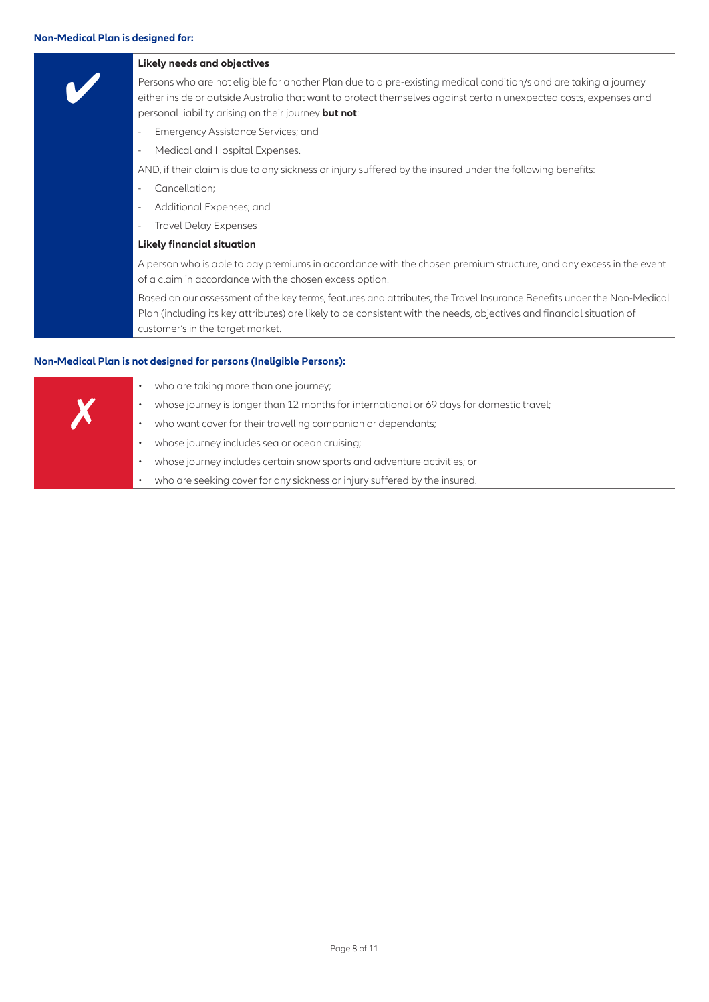#### **Non-Medical Plan is designed for:**

| Likely needs and objectives                                                                                                                                                                                                                                                                   |
|-----------------------------------------------------------------------------------------------------------------------------------------------------------------------------------------------------------------------------------------------------------------------------------------------|
| Persons who are not eligible for another Plan due to a pre-existing medical condition/s and are taking a journey<br>either inside or outside Australia that want to protect themselves against certain unexpected costs, expenses and<br>personal liability arising on their journey but not: |
| Emergency Assistance Services; and                                                                                                                                                                                                                                                            |
| Medical and Hospital Expenses.                                                                                                                                                                                                                                                                |
| AND, if their claim is due to any sickness or injury suffered by the insured under the following benefits:                                                                                                                                                                                    |
| Cancellation;                                                                                                                                                                                                                                                                                 |
| Additional Expenses; and                                                                                                                                                                                                                                                                      |
| <b>Travel Delay Expenses</b>                                                                                                                                                                                                                                                                  |
| <b>Likely financial situation</b>                                                                                                                                                                                                                                                             |
| A person who is able to pay premiums in accordance with the chosen premium structure, and any excess in the event<br>of a claim in accordance with the chosen excess option.                                                                                                                  |
| Based on our assessment of the key terms, features and attributes, the Travel Insurance Benefits under the Non-Medical<br>Plan (including its key attributes) are likely to be consistent with the needs, objectives and financial situation of<br>customer's in the target market.           |

#### **Non-Medical Plan is not designed for persons (Ineligible Persons):**

| who are taking more than one journey;                                                    |
|------------------------------------------------------------------------------------------|
| whose journey is longer than 12 months for international or 69 days for domestic travel; |
| who want cover for their travelling companion or dependants;                             |
| whose journey includes sea or ocean cruising;                                            |
| whose journey includes certain snow sports and adventure activities; or                  |
| who are seeking cover for any sickness or injury suffered by the insured.                |
|                                                                                          |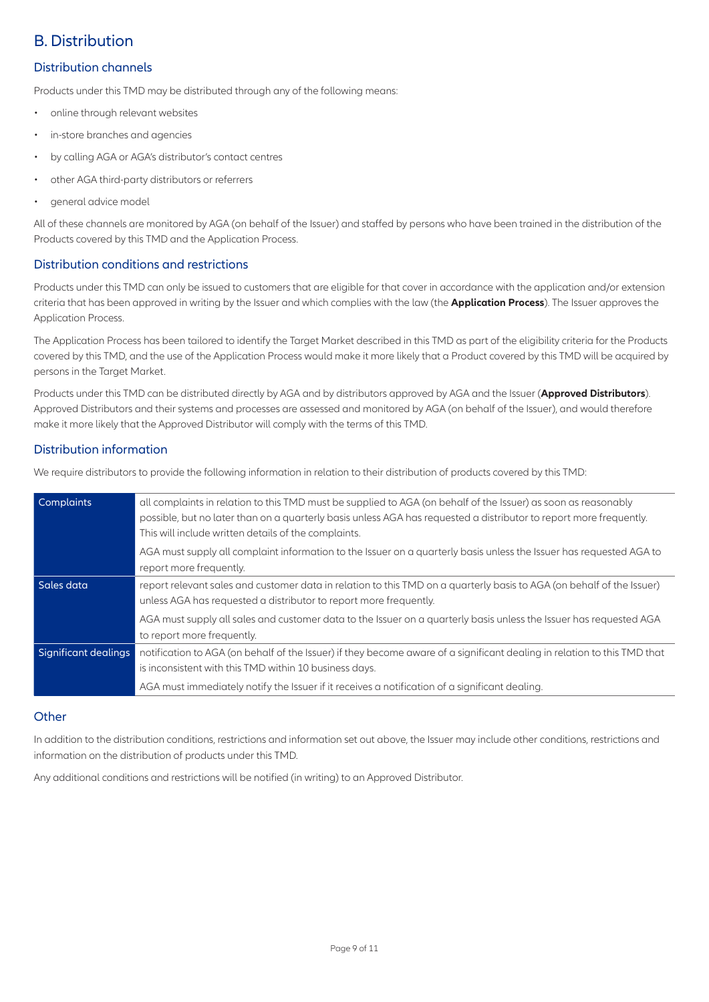## B. Distribution

#### Distribution channels

Products under this TMD may be distributed through any of the following means:

- online through relevant websites
- in-store branches and agencies
- by calling AGA or AGA's distributor's contact centres
- other AGA third-party distributors or referrers
- general advice model

All of these channels are monitored by AGA (on behalf of the Issuer) and staffed by persons who have been trained in the distribution of the Products covered by this TMD and the Application Process.

#### Distribution conditions and restrictions

Products under this TMD can only be issued to customers that are eligible for that cover in accordance with the application and/or extension criteria that has been approved in writing by the Issuer and which complies with the law (the **Application Process**). The Issuer approves the Application Process.

The Application Process has been tailored to identify the Target Market described in this TMD as part of the eligibility criteria for the Products covered by this TMD, and the use of the Application Process would make it more likely that a Product covered by this TMD will be acquired by persons in the Target Market.

Products under this TMD can be distributed directly by AGA and by distributors approved by AGA and the Issuer (**Approved Distributors**). Approved Distributors and their systems and processes are assessed and monitored by AGA (on behalf of the Issuer), and would therefore make it more likely that the Approved Distributor will comply with the terms of this TMD.

#### Distribution information

We require distributors to provide the following information in relation to their distribution of products covered by this TMD:

| Complaints           | all complaints in relation to this TMD must be supplied to AGA (on behalf of the Issuer) as soon as reasonably<br>possible, but no later than on a quarterly basis unless AGA has requested a distributor to report more frequently.<br>This will include written details of the complaints. |
|----------------------|----------------------------------------------------------------------------------------------------------------------------------------------------------------------------------------------------------------------------------------------------------------------------------------------|
|                      | AGA must supply all complaint information to the Issuer on a guarterly basis unless the Issuer has reguested AGA to<br>report more frequently.                                                                                                                                               |
| Sales data           | report relevant sales and customer data in relation to this TMD on a quarterly basis to AGA (on behalf of the Issuer)<br>unless AGA has requested a distributor to report more frequently.                                                                                                   |
|                      | AGA must supply all sales and customer data to the Issuer on a quarterly basis unless the Issuer has requested AGA<br>to report more frequently.                                                                                                                                             |
| Significant dealings | notification to AGA (on behalf of the Issuer) if they become aware of a significant dealing in relation to this TMD that<br>is inconsistent with this TMD within 10 business days.                                                                                                           |
|                      | AGA must immediately notify the Issuer if it receives a notification of a significant dealing.                                                                                                                                                                                               |

#### **Other**

In addition to the distribution conditions, restrictions and information set out above, the Issuer may include other conditions, restrictions and information on the distribution of products under this TMD.

Any additional conditions and restrictions will be notified (in writing) to an Approved Distributor.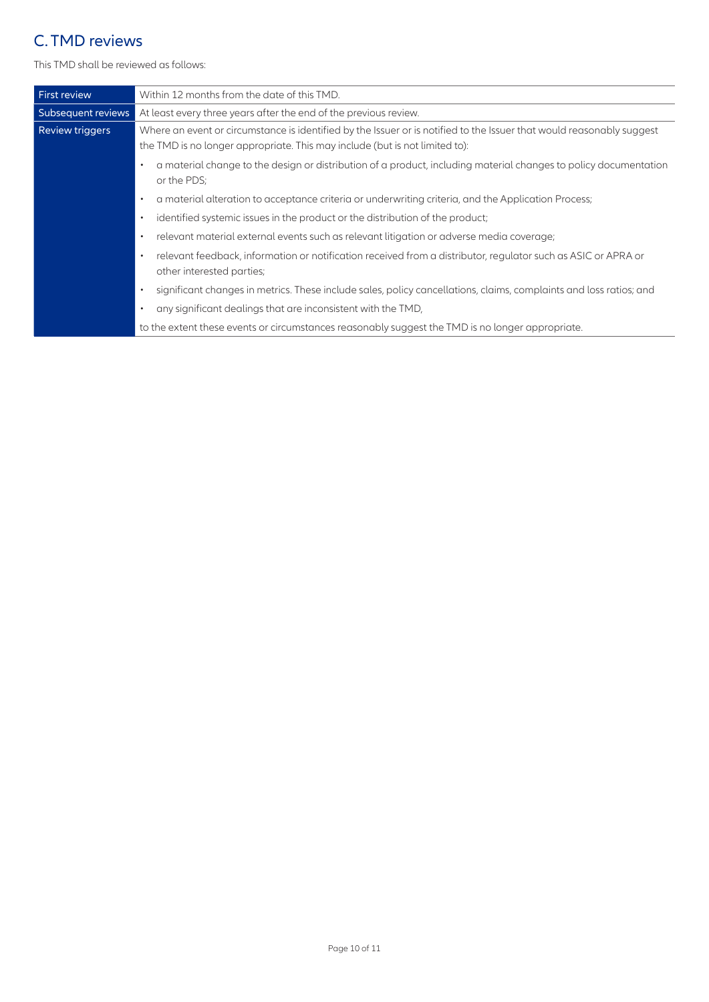## C. TMD reviews

This TMD shall be reviewed as follows:

| <b>First review</b>    | Within 12 months from the date of this TMD.                                                                                                                                                          |  |
|------------------------|------------------------------------------------------------------------------------------------------------------------------------------------------------------------------------------------------|--|
| Subsequent reviews     | At least every three years after the end of the previous review.                                                                                                                                     |  |
| <b>Review triggers</b> | Where an event or circumstance is identified by the Issuer or is notified to the Issuer that would reasonably suggest<br>the TMD is no longer appropriate. This may include (but is not limited to): |  |
|                        | a material change to the design or distribution of a product, including material changes to policy documentation<br>٠<br>or the PDS;                                                                 |  |
|                        | a material alteration to acceptance criteria or underwriting criteria, and the Application Process;<br>$\bullet$                                                                                     |  |
|                        | identified systemic issues in the product or the distribution of the product;<br>$\bullet$                                                                                                           |  |
|                        | relevant material external events such as relevant litigation or adverse media coverage;<br>$\bullet$                                                                                                |  |
|                        | relevant feedback, information or notification received from a distributor, regulator such as ASIC or APRA or<br>$\bullet$<br>other interested parties;                                              |  |
|                        | significant changes in metrics. These include sales, policy cancellations, claims, complaints and loss ratios; and<br>$\bullet$                                                                      |  |
|                        | any significant dealings that are inconsistent with the TMD,<br>٠                                                                                                                                    |  |
|                        | to the extent these events or circumstances reasonably suggest the TMD is no longer appropriate.                                                                                                     |  |